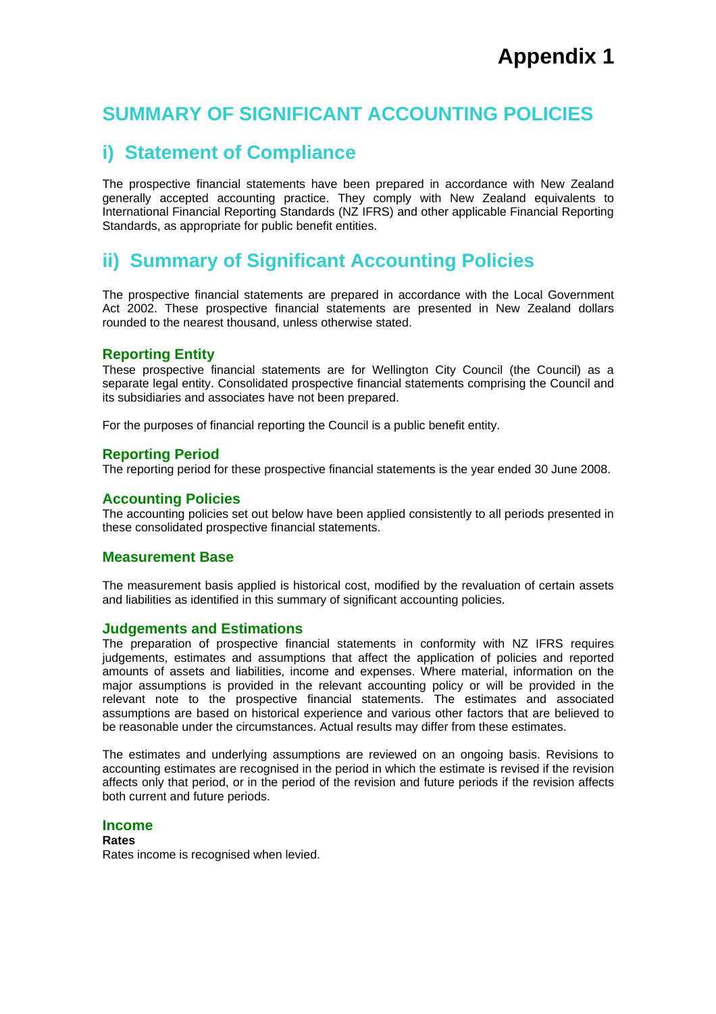# **SUMMARY OF SIGNIFICANT ACCOUNTING POLICIES**

# **i) Statement of Compliance**

The prospective financial statements have been prepared in accordance with New Zealand generally accepted accounting practice. They comply with New Zealand equivalents to International Financial Reporting Standards (NZ IFRS) and other applicable Financial Reporting Standards, as appropriate for public benefit entities.

# **ii) Summary of Significant Accounting Policies**

The prospective financial statements are prepared in accordance with the Local Government Act 2002. These prospective financial statements are presented in New Zealand dollars rounded to the nearest thousand, unless otherwise stated.

# **Reporting Entity**

These prospective financial statements are for Wellington City Council (the Council) as a separate legal entity. Consolidated prospective financial statements comprising the Council and its subsidiaries and associates have not been prepared.

For the purposes of financial reporting the Council is a public benefit entity.

# **Reporting Period**

The reporting period for these prospective financial statements is the year ended 30 June 2008.

# **Accounting Policies**

The accounting policies set out below have been applied consistently to all periods presented in these consolidated prospective financial statements.

# **Measurement Base**

The measurement basis applied is historical cost, modified by the revaluation of certain assets and liabilities as identified in this summary of significant accounting policies.

# **Judgements and Estimations**

The preparation of prospective financial statements in conformity with NZ IFRS requires judgements, estimates and assumptions that affect the application of policies and reported amounts of assets and liabilities, income and expenses. Where material, information on the major assumptions is provided in the relevant accounting policy or will be provided in the relevant note to the prospective financial statements. The estimates and associated assumptions are based on historical experience and various other factors that are believed to be reasonable under the circumstances. Actual results may differ from these estimates.

The estimates and underlying assumptions are reviewed on an ongoing basis. Revisions to accounting estimates are recognised in the period in which the estimate is revised if the revision affects only that period, or in the period of the revision and future periods if the revision affects both current and future periods.

# **Income**

**Rates**  Rates income is recognised when levied.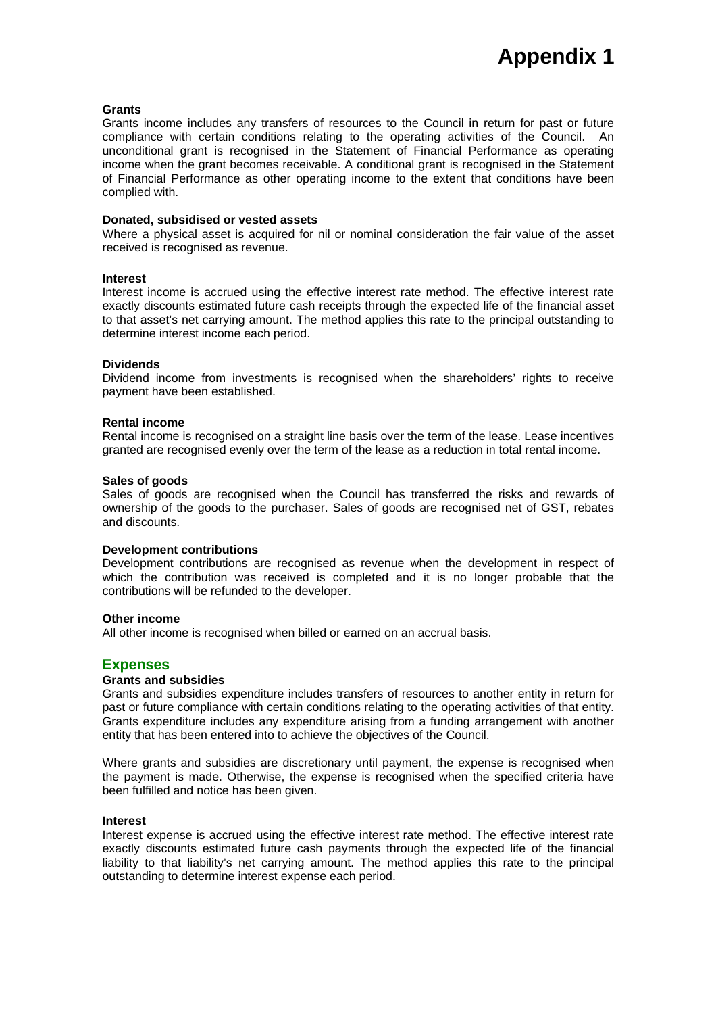#### **Grants**

Grants income includes any transfers of resources to the Council in return for past or future compliance with certain conditions relating to the operating activities of the Council. An unconditional grant is recognised in the Statement of Financial Performance as operating income when the grant becomes receivable. A conditional grant is recognised in the Statement of Financial Performance as other operating income to the extent that conditions have been complied with.

#### **Donated, subsidised or vested assets**

Where a physical asset is acquired for nil or nominal consideration the fair value of the asset received is recognised as revenue.

#### **Interest**

Interest income is accrued using the effective interest rate method. The effective interest rate exactly discounts estimated future cash receipts through the expected life of the financial asset to that asset's net carrying amount. The method applies this rate to the principal outstanding to determine interest income each period.

#### **Dividends**

Dividend income from investments is recognised when the shareholders' rights to receive payment have been established.

#### **Rental income**

Rental income is recognised on a straight line basis over the term of the lease. Lease incentives granted are recognised evenly over the term of the lease as a reduction in total rental income.

#### **Sales of goods**

Sales of goods are recognised when the Council has transferred the risks and rewards of ownership of the goods to the purchaser. Sales of goods are recognised net of GST, rebates and discounts.

#### **Development contributions**

Development contributions are recognised as revenue when the development in respect of which the contribution was received is completed and it is no longer probable that the contributions will be refunded to the developer.

#### **Other income**

All other income is recognised when billed or earned on an accrual basis.

# **Expenses**

### **Grants and subsidies**

Grants and subsidies expenditure includes transfers of resources to another entity in return for past or future compliance with certain conditions relating to the operating activities of that entity. Grants expenditure includes any expenditure arising from a funding arrangement with another entity that has been entered into to achieve the objectives of the Council.

Where grants and subsidies are discretionary until payment, the expense is recognised when the payment is made. Otherwise, the expense is recognised when the specified criteria have been fulfilled and notice has been given.

#### **Interest**

Interest expense is accrued using the effective interest rate method. The effective interest rate exactly discounts estimated future cash payments through the expected life of the financial liability to that liability's net carrying amount. The method applies this rate to the principal outstanding to determine interest expense each period.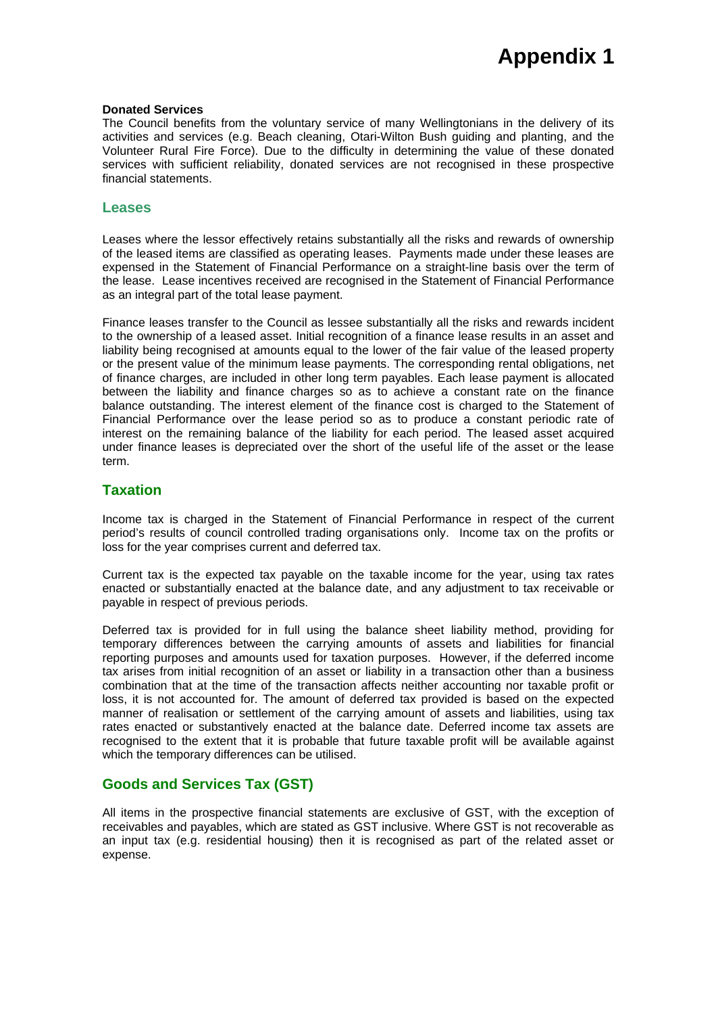#### **Donated Services**

The Council benefits from the voluntary service of many Wellingtonians in the delivery of its activities and services (e.g. Beach cleaning, Otari-Wilton Bush guiding and planting, and the Volunteer Rural Fire Force). Due to the difficulty in determining the value of these donated services with sufficient reliability, donated services are not recognised in these prospective financial statements.

## **Leases**

Leases where the lessor effectively retains substantially all the risks and rewards of ownership of the leased items are classified as operating leases. Payments made under these leases are expensed in the Statement of Financial Performance on a straight-line basis over the term of the lease. Lease incentives received are recognised in the Statement of Financial Performance as an integral part of the total lease payment.

Finance leases transfer to the Council as lessee substantially all the risks and rewards incident to the ownership of a leased asset. Initial recognition of a finance lease results in an asset and liability being recognised at amounts equal to the lower of the fair value of the leased property or the present value of the minimum lease payments. The corresponding rental obligations, net of finance charges, are included in other long term payables. Each lease payment is allocated between the liability and finance charges so as to achieve a constant rate on the finance balance outstanding. The interest element of the finance cost is charged to the Statement of Financial Performance over the lease period so as to produce a constant periodic rate of interest on the remaining balance of the liability for each period. The leased asset acquired under finance leases is depreciated over the short of the useful life of the asset or the lease term.

# **Taxation**

Income tax is charged in the Statement of Financial Performance in respect of the current period's results of council controlled trading organisations only. Income tax on the profits or loss for the year comprises current and deferred tax.

Current tax is the expected tax payable on the taxable income for the year, using tax rates enacted or substantially enacted at the balance date, and any adjustment to tax receivable or payable in respect of previous periods.

Deferred tax is provided for in full using the balance sheet liability method, providing for temporary differences between the carrying amounts of assets and liabilities for financial reporting purposes and amounts used for taxation purposes. However, if the deferred income tax arises from initial recognition of an asset or liability in a transaction other than a business combination that at the time of the transaction affects neither accounting nor taxable profit or loss, it is not accounted for. The amount of deferred tax provided is based on the expected manner of realisation or settlement of the carrying amount of assets and liabilities, using tax rates enacted or substantively enacted at the balance date. Deferred income tax assets are recognised to the extent that it is probable that future taxable profit will be available against which the temporary differences can be utilised.

# **Goods and Services Tax (GST)**

All items in the prospective financial statements are exclusive of GST, with the exception of receivables and payables, which are stated as GST inclusive. Where GST is not recoverable as an input tax (e.g. residential housing) then it is recognised as part of the related asset or expense.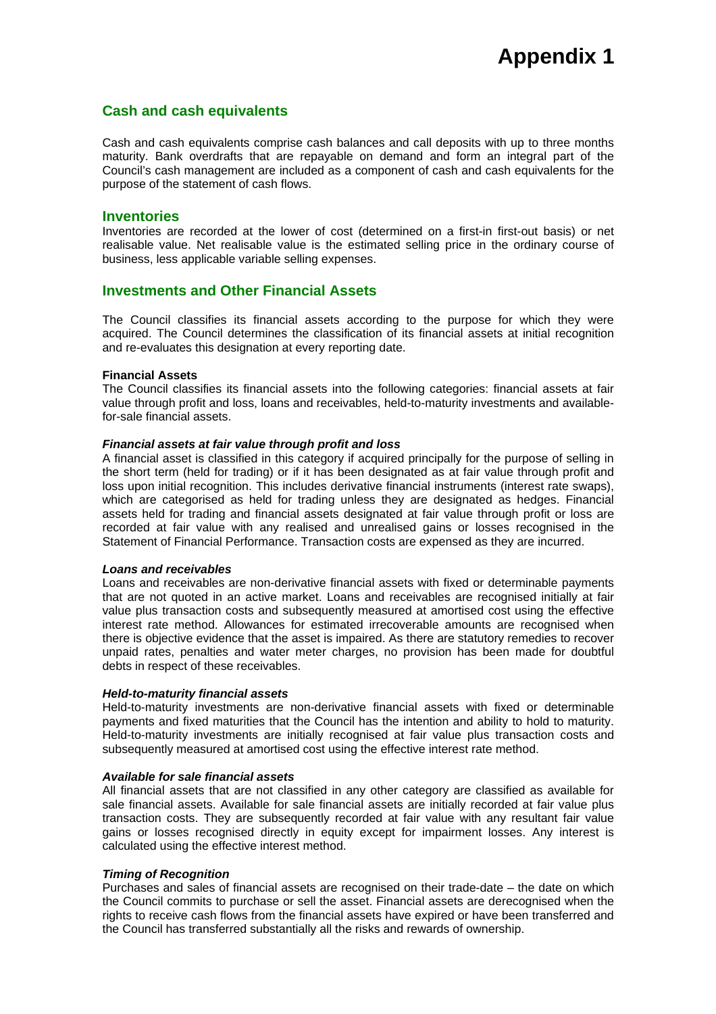# **Cash and cash equivalents**

Cash and cash equivalents comprise cash balances and call deposits with up to three months maturity. Bank overdrafts that are repayable on demand and form an integral part of the Council's cash management are included as a component of cash and cash equivalents for the purpose of the statement of cash flows.

# **Inventories**

Inventories are recorded at the lower of cost (determined on a first-in first-out basis) or net realisable value. Net realisable value is the estimated selling price in the ordinary course of business, less applicable variable selling expenses.

# **Investments and Other Financial Assets**

The Council classifies its financial assets according to the purpose for which they were acquired. The Council determines the classification of its financial assets at initial recognition and re-evaluates this designation at every reporting date.

### **Financial Assets**

The Council classifies its financial assets into the following categories: financial assets at fair value through profit and loss, loans and receivables, held-to-maturity investments and availablefor-sale financial assets.

# *Financial assets at fair value through profit and loss*

A financial asset is classified in this category if acquired principally for the purpose of selling in the short term (held for trading) or if it has been designated as at fair value through profit and loss upon initial recognition. This includes derivative financial instruments (interest rate swaps), which are categorised as held for trading unless they are designated as hedges. Financial assets held for trading and financial assets designated at fair value through profit or loss are recorded at fair value with any realised and unrealised gains or losses recognised in the Statement of Financial Performance. Transaction costs are expensed as they are incurred.

### *Loans and receivables*

Loans and receivables are non-derivative financial assets with fixed or determinable payments that are not quoted in an active market. Loans and receivables are recognised initially at fair value plus transaction costs and subsequently measured at amortised cost using the effective interest rate method. Allowances for estimated irrecoverable amounts are recognised when there is objective evidence that the asset is impaired. As there are statutory remedies to recover unpaid rates, penalties and water meter charges, no provision has been made for doubtful debts in respect of these receivables.

### *Held-to-maturity financial assets*

Held-to-maturity investments are non-derivative financial assets with fixed or determinable payments and fixed maturities that the Council has the intention and ability to hold to maturity. Held-to-maturity investments are initially recognised at fair value plus transaction costs and subsequently measured at amortised cost using the effective interest rate method.

### *Available for sale financial assets*

All financial assets that are not classified in any other category are classified as available for sale financial assets. Available for sale financial assets are initially recorded at fair value plus transaction costs. They are subsequently recorded at fair value with any resultant fair value gains or losses recognised directly in equity except for impairment losses. Any interest is calculated using the effective interest method.

# *Timing of Recognition*

Purchases and sales of financial assets are recognised on their trade-date – the date on which the Council commits to purchase or sell the asset. Financial assets are derecognised when the rights to receive cash flows from the financial assets have expired or have been transferred and the Council has transferred substantially all the risks and rewards of ownership.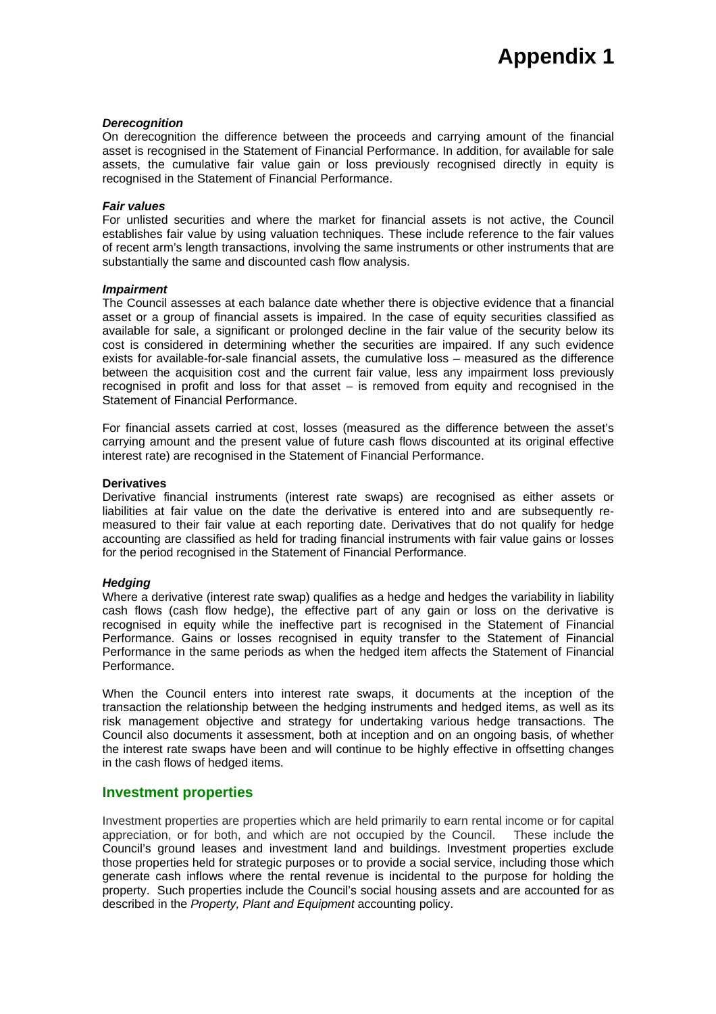#### *Derecognition*

On derecognition the difference between the proceeds and carrying amount of the financial asset is recognised in the Statement of Financial Performance. In addition, for available for sale assets, the cumulative fair value gain or loss previously recognised directly in equity is recognised in the Statement of Financial Performance.

#### *Fair values*

For unlisted securities and where the market for financial assets is not active, the Council establishes fair value by using valuation techniques. These include reference to the fair values of recent arm's length transactions, involving the same instruments or other instruments that are substantially the same and discounted cash flow analysis.

#### *Impairment*

The Council assesses at each balance date whether there is objective evidence that a financial asset or a group of financial assets is impaired. In the case of equity securities classified as available for sale, a significant or prolonged decline in the fair value of the security below its cost is considered in determining whether the securities are impaired. If any such evidence exists for available-for-sale financial assets, the cumulative loss – measured as the difference between the acquisition cost and the current fair value, less any impairment loss previously recognised in profit and loss for that asset – is removed from equity and recognised in the Statement of Financial Performance.

For financial assets carried at cost, losses (measured as the difference between the asset's carrying amount and the present value of future cash flows discounted at its original effective interest rate) are recognised in the Statement of Financial Performance.

#### **Derivatives**

Derivative financial instruments (interest rate swaps) are recognised as either assets or liabilities at fair value on the date the derivative is entered into and are subsequently remeasured to their fair value at each reporting date. Derivatives that do not qualify for hedge accounting are classified as held for trading financial instruments with fair value gains or losses for the period recognised in the Statement of Financial Performance.

#### *Hedging*

Where a derivative (interest rate swap) qualifies as a hedge and hedges the variability in liability cash flows (cash flow hedge), the effective part of any gain or loss on the derivative is recognised in equity while the ineffective part is recognised in the Statement of Financial Performance. Gains or losses recognised in equity transfer to the Statement of Financial Performance in the same periods as when the hedged item affects the Statement of Financial Performance.

When the Council enters into interest rate swaps, it documents at the inception of the transaction the relationship between the hedging instruments and hedged items, as well as its risk management objective and strategy for undertaking various hedge transactions. The Council also documents it assessment, both at inception and on an ongoing basis, of whether the interest rate swaps have been and will continue to be highly effective in offsetting changes in the cash flows of hedged items.

# **Investment properties**

Investment properties are properties which are held primarily to earn rental income or for capital appreciation, or for both, and which are not occupied by the Council. These include the Council's ground leases and investment land and buildings. Investment properties exclude those properties held for strategic purposes or to provide a social service, including those which generate cash inflows where the rental revenue is incidental to the purpose for holding the property. Such properties include the Council's social housing assets and are accounted for as described in the *Property, Plant and Equipment* accounting policy.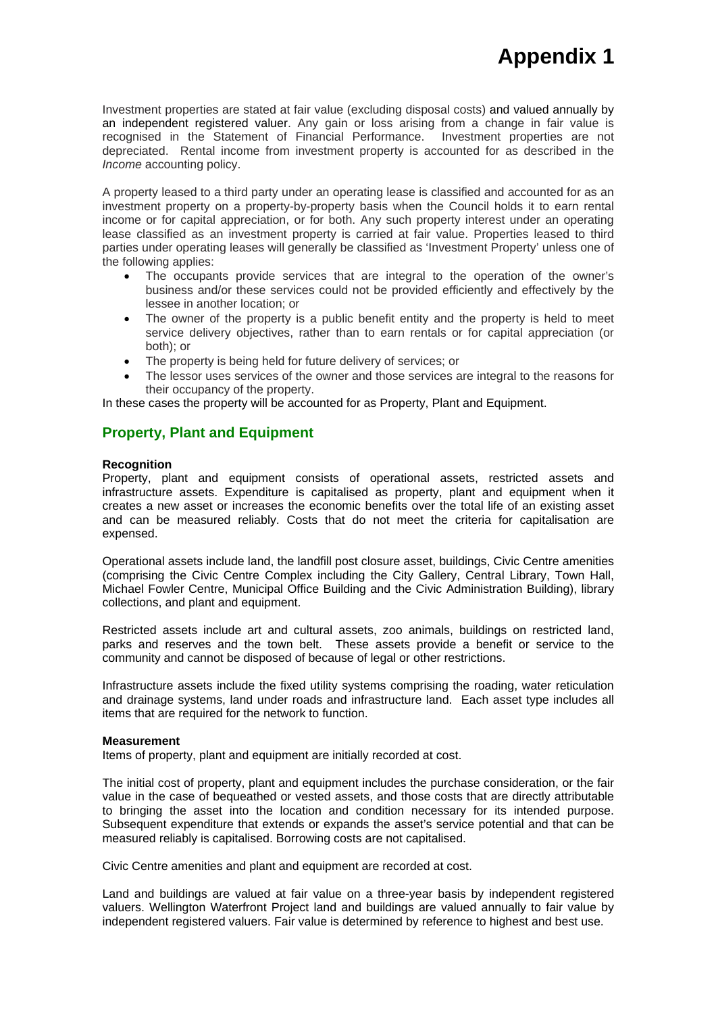Investment properties are stated at fair value (excluding disposal costs) and valued annually by an independent registered valuer. Any gain or loss arising from a change in fair value is recognised in the Statement of Financial Performance. Investment properties are not depreciated. Rental income from investment property is accounted for as described in the *Income* accounting policy.

A property leased to a third party under an operating lease is classified and accounted for as an investment property on a property-by-property basis when the Council holds it to earn rental income or for capital appreciation, or for both. Any such property interest under an operating lease classified as an investment property is carried at fair value. Properties leased to third parties under operating leases will generally be classified as 'Investment Property' unless one of the following applies:

- The occupants provide services that are integral to the operation of the owner's business and/or these services could not be provided efficiently and effectively by the lessee in another location; or
- The owner of the property is a public benefit entity and the property is held to meet service delivery objectives, rather than to earn rentals or for capital appreciation (or both); or
- The property is being held for future delivery of services; or
- The lessor uses services of the owner and those services are integral to the reasons for their occupancy of the property.

In these cases the property will be accounted for as Property, Plant and Equipment.

# **Property, Plant and Equipment**

### **Recognition**

Property, plant and equipment consists of operational assets, restricted assets and infrastructure assets. Expenditure is capitalised as property, plant and equipment when it creates a new asset or increases the economic benefits over the total life of an existing asset and can be measured reliably. Costs that do not meet the criteria for capitalisation are expensed.

Operational assets include land, the landfill post closure asset, buildings, Civic Centre amenities (comprising the Civic Centre Complex including the City Gallery, Central Library, Town Hall, Michael Fowler Centre, Municipal Office Building and the Civic Administration Building), library collections, and plant and equipment.

Restricted assets include art and cultural assets, zoo animals, buildings on restricted land, parks and reserves and the town belt. These assets provide a benefit or service to the community and cannot be disposed of because of legal or other restrictions.

Infrastructure assets include the fixed utility systems comprising the roading, water reticulation and drainage systems, land under roads and infrastructure land. Each asset type includes all items that are required for the network to function.

#### **Measurement**

Items of property, plant and equipment are initially recorded at cost.

The initial cost of property, plant and equipment includes the purchase consideration, or the fair value in the case of bequeathed or vested assets, and those costs that are directly attributable to bringing the asset into the location and condition necessary for its intended purpose. Subsequent expenditure that extends or expands the asset's service potential and that can be measured reliably is capitalised. Borrowing costs are not capitalised.

Civic Centre amenities and plant and equipment are recorded at cost.

Land and buildings are valued at fair value on a three-year basis by independent registered valuers. Wellington Waterfront Project land and buildings are valued annually to fair value by independent registered valuers. Fair value is determined by reference to highest and best use.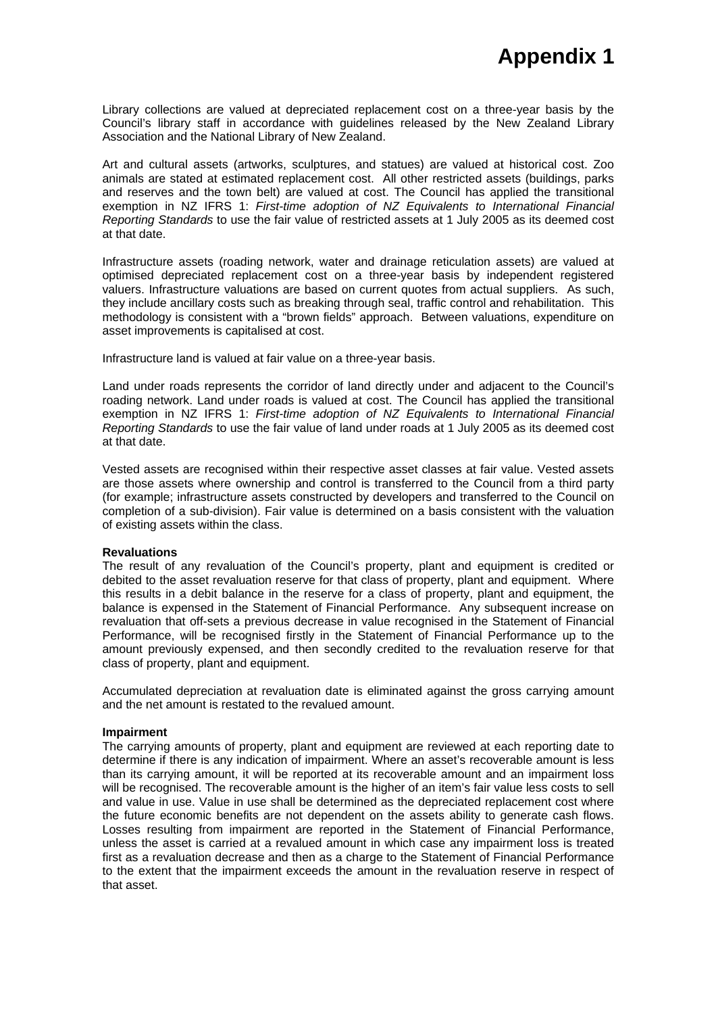Library collections are valued at depreciated replacement cost on a three-year basis by the Council's library staff in accordance with guidelines released by the New Zealand Library Association and the National Library of New Zealand.

Art and cultural assets (artworks, sculptures, and statues) are valued at historical cost. Zoo animals are stated at estimated replacement cost. All other restricted assets (buildings, parks and reserves and the town belt) are valued at cost. The Council has applied the transitional exemption in NZ IFRS 1: *First-time adoption of NZ Equivalents to International Financial Reporting Standards* to use the fair value of restricted assets at 1 July 2005 as its deemed cost at that date.

Infrastructure assets (roading network, water and drainage reticulation assets) are valued at optimised depreciated replacement cost on a three-year basis by independent registered valuers. Infrastructure valuations are based on current quotes from actual suppliers. As such, they include ancillary costs such as breaking through seal, traffic control and rehabilitation. This methodology is consistent with a "brown fields" approach. Between valuations, expenditure on asset improvements is capitalised at cost.

Infrastructure land is valued at fair value on a three-year basis.

Land under roads represents the corridor of land directly under and adjacent to the Council's roading network. Land under roads is valued at cost. The Council has applied the transitional exemption in NZ IFRS 1: *First-time adoption of NZ Equivalents to International Financial Reporting Standards* to use the fair value of land under roads at 1 July 2005 as its deemed cost at that date.

Vested assets are recognised within their respective asset classes at fair value. Vested assets are those assets where ownership and control is transferred to the Council from a third party (for example; infrastructure assets constructed by developers and transferred to the Council on completion of a sub-division). Fair value is determined on a basis consistent with the valuation of existing assets within the class.

### **Revaluations**

The result of any revaluation of the Council's property, plant and equipment is credited or debited to the asset revaluation reserve for that class of property, plant and equipment. Where this results in a debit balance in the reserve for a class of property, plant and equipment, the balance is expensed in the Statement of Financial Performance. Any subsequent increase on revaluation that off-sets a previous decrease in value recognised in the Statement of Financial Performance, will be recognised firstly in the Statement of Financial Performance up to the amount previously expensed, and then secondly credited to the revaluation reserve for that class of property, plant and equipment.

Accumulated depreciation at revaluation date is eliminated against the gross carrying amount and the net amount is restated to the revalued amount.

#### **Impairment**

The carrying amounts of property, plant and equipment are reviewed at each reporting date to determine if there is any indication of impairment. Where an asset's recoverable amount is less than its carrying amount, it will be reported at its recoverable amount and an impairment loss will be recognised. The recoverable amount is the higher of an item's fair value less costs to sell and value in use. Value in use shall be determined as the depreciated replacement cost where the future economic benefits are not dependent on the assets ability to generate cash flows. Losses resulting from impairment are reported in the Statement of Financial Performance, unless the asset is carried at a revalued amount in which case any impairment loss is treated first as a revaluation decrease and then as a charge to the Statement of Financial Performance to the extent that the impairment exceeds the amount in the revaluation reserve in respect of that asset.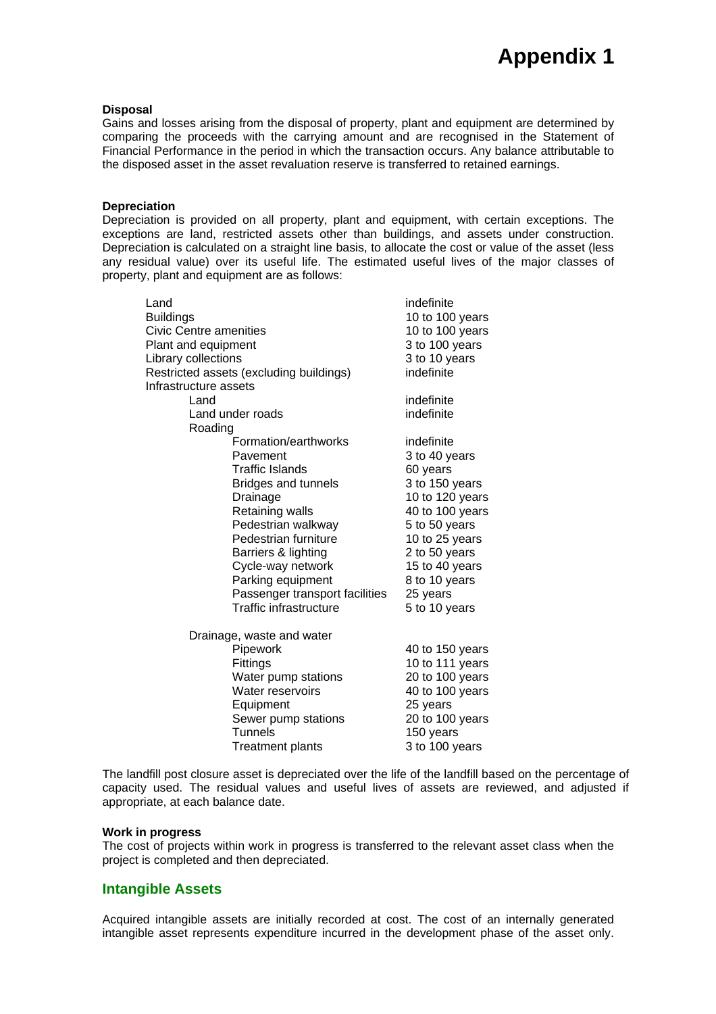#### **Disposal**

Gains and losses arising from the disposal of property, plant and equipment are determined by comparing the proceeds with the carrying amount and are recognised in the Statement of Financial Performance in the period in which the transaction occurs. Any balance attributable to the disposed asset in the asset revaluation reserve is transferred to retained earnings.

#### **Depreciation**

Depreciation is provided on all property, plant and equipment, with certain exceptions. The exceptions are land, restricted assets other than buildings, and assets under construction. Depreciation is calculated on a straight line basis, to allocate the cost or value of the asset (less any residual value) over its useful life. The estimated useful lives of the major classes of property, plant and equipment are as follows:

| Land                          |                                         | indefinite                      |  |
|-------------------------------|-----------------------------------------|---------------------------------|--|
| <b>Buildings</b>              |                                         | 10 to 100 years                 |  |
| <b>Civic Centre amenities</b> |                                         | 10 to 100 years                 |  |
|                               | Plant and equipment                     |                                 |  |
| Library collections           |                                         | 3 to 100 years<br>3 to 10 years |  |
|                               | Restricted assets (excluding buildings) | indefinite                      |  |
|                               | Infrastructure assets                   |                                 |  |
| Land                          |                                         | indefinite                      |  |
|                               | Land under roads                        | indefinite                      |  |
| Roading                       |                                         |                                 |  |
|                               | Formation/earthworks                    | indefinite                      |  |
|                               | Pavement                                | 3 to 40 years                   |  |
|                               | <b>Traffic Islands</b>                  | 60 years                        |  |
|                               | <b>Bridges and tunnels</b>              | 3 to 150 years                  |  |
|                               | Drainage                                | 10 to 120 years                 |  |
|                               | Retaining walls                         | 40 to 100 years                 |  |
|                               | Pedestrian walkway                      | 5 to 50 years                   |  |
|                               | Pedestrian furniture                    | 10 to 25 years                  |  |
|                               | Barriers & lighting                     | 2 to 50 years                   |  |
|                               | Cycle-way network                       | 15 to 40 years                  |  |
|                               | Parking equipment                       | 8 to 10 years                   |  |
|                               | Passenger transport facilities          | 25 years                        |  |
|                               | Traffic infrastructure                  | 5 to 10 years                   |  |
| Drainage, waste and water     |                                         |                                 |  |
|                               | Pipework                                | 40 to 150 years                 |  |
|                               | Fittings                                | 10 to 111 years                 |  |
|                               | Water pump stations                     | 20 to 100 years                 |  |
|                               | Water reservoirs                        | 40 to 100 years                 |  |
|                               | Equipment                               | 25 years                        |  |
|                               | Sewer pump stations                     | 20 to 100 years                 |  |
|                               | <b>Tunnels</b>                          | 150 years                       |  |
|                               | <b>Treatment plants</b>                 | 3 to 100 years                  |  |

The landfill post closure asset is depreciated over the life of the landfill based on the percentage of capacity used. The residual values and useful lives of assets are reviewed, and adjusted if appropriate, at each balance date.

#### **Work in progress**

The cost of projects within work in progress is transferred to the relevant asset class when the project is completed and then depreciated.

### **Intangible Assets**

Acquired intangible assets are initially recorded at cost. The cost of an internally generated intangible asset represents expenditure incurred in the development phase of the asset only.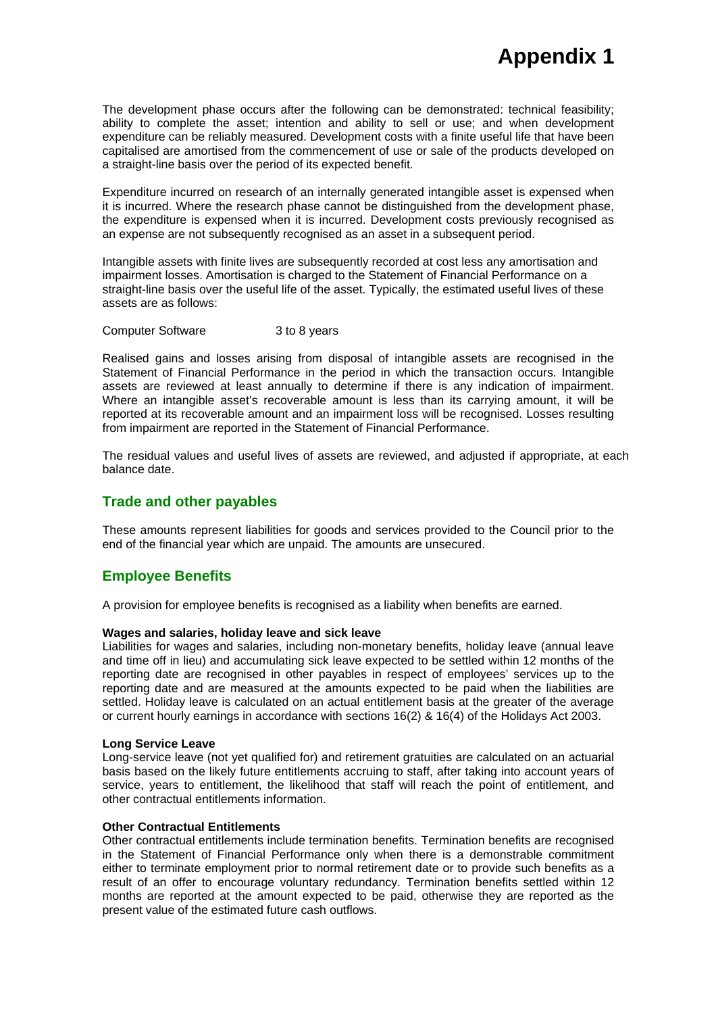The development phase occurs after the following can be demonstrated: technical feasibility; ability to complete the asset; intention and ability to sell or use; and when development expenditure can be reliably measured. Development costs with a finite useful life that have been capitalised are amortised from the commencement of use or sale of the products developed on a straight-line basis over the period of its expected benefit.

Expenditure incurred on research of an internally generated intangible asset is expensed when it is incurred. Where the research phase cannot be distinguished from the development phase, the expenditure is expensed when it is incurred. Development costs previously recognised as an expense are not subsequently recognised as an asset in a subsequent period.

Intangible assets with finite lives are subsequently recorded at cost less any amortisation and impairment losses. Amortisation is charged to the Statement of Financial Performance on a straight-line basis over the useful life of the asset. Typically, the estimated useful lives of these assets are as follows:

Computer Software 3 to 8 years

Realised gains and losses arising from disposal of intangible assets are recognised in the Statement of Financial Performance in the period in which the transaction occurs. Intangible assets are reviewed at least annually to determine if there is any indication of impairment. Where an intangible asset's recoverable amount is less than its carrying amount, it will be reported at its recoverable amount and an impairment loss will be recognised. Losses resulting from impairment are reported in the Statement of Financial Performance.

The residual values and useful lives of assets are reviewed, and adjusted if appropriate, at each balance date.

# **Trade and other payables**

These amounts represent liabilities for goods and services provided to the Council prior to the end of the financial year which are unpaid. The amounts are unsecured.

# **Employee Benefits**

A provision for employee benefits is recognised as a liability when benefits are earned.

### **Wages and salaries, holiday leave and sick leave**

Liabilities for wages and salaries, including non-monetary benefits, holiday leave (annual leave and time off in lieu) and accumulating sick leave expected to be settled within 12 months of the reporting date are recognised in other payables in respect of employees' services up to the reporting date and are measured at the amounts expected to be paid when the liabilities are settled. Holiday leave is calculated on an actual entitlement basis at the greater of the average or current hourly earnings in accordance with sections 16(2) & 16(4) of the Holidays Act 2003.

#### **Long Service Leave**

Long-service leave (not yet qualified for) and retirement gratuities are calculated on an actuarial basis based on the likely future entitlements accruing to staff, after taking into account years of service, years to entitlement, the likelihood that staff will reach the point of entitlement, and other contractual entitlements information.

# **Other Contractual Entitlements**

Other contractual entitlements include termination benefits. Termination benefits are recognised in the Statement of Financial Performance only when there is a demonstrable commitment either to terminate employment prior to normal retirement date or to provide such benefits as a result of an offer to encourage voluntary redundancy. Termination benefits settled within 12 months are reported at the amount expected to be paid, otherwise they are reported as the present value of the estimated future cash outflows.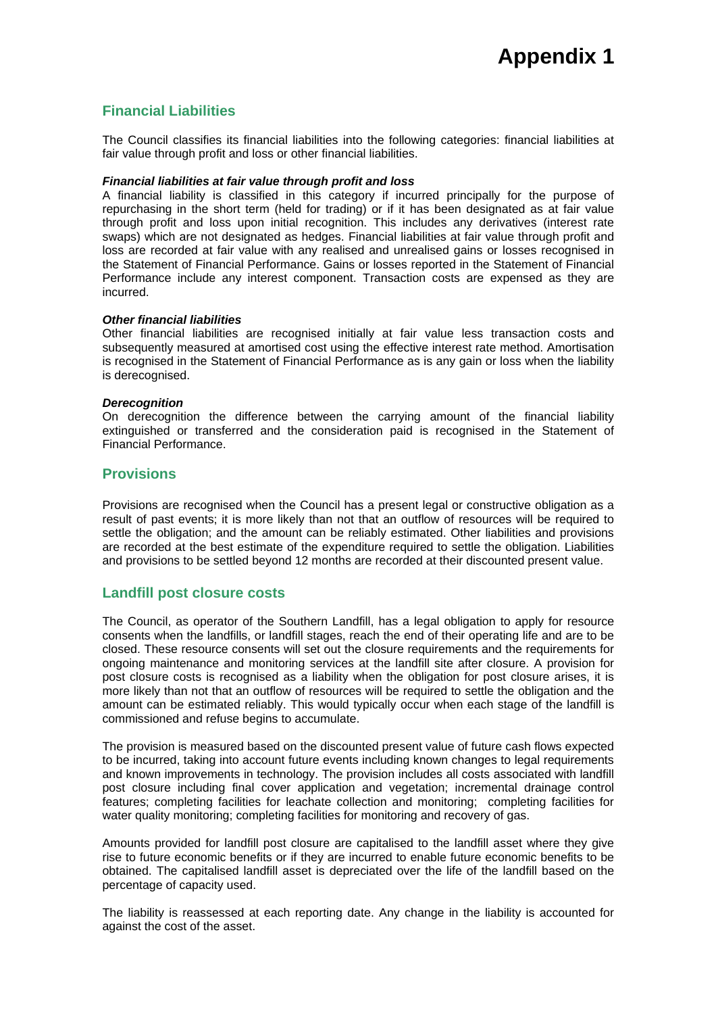# **Financial Liabilities**

The Council classifies its financial liabilities into the following categories: financial liabilities at fair value through profit and loss or other financial liabilities.

### *Financial liabilities at fair value through profit and loss*

A financial liability is classified in this category if incurred principally for the purpose of repurchasing in the short term (held for trading) or if it has been designated as at fair value through profit and loss upon initial recognition. This includes any derivatives (interest rate swaps) which are not designated as hedges. Financial liabilities at fair value through profit and loss are recorded at fair value with any realised and unrealised gains or losses recognised in the Statement of Financial Performance. Gains or losses reported in the Statement of Financial Performance include any interest component. Transaction costs are expensed as they are incurred.

### *Other financial liabilities*

Other financial liabilities are recognised initially at fair value less transaction costs and subsequently measured at amortised cost using the effective interest rate method. Amortisation is recognised in the Statement of Financial Performance as is any gain or loss when the liability is derecognised.

#### *Derecognition*

On derecognition the difference between the carrying amount of the financial liability extinguished or transferred and the consideration paid is recognised in the Statement of Financial Performance.

# **Provisions**

Provisions are recognised when the Council has a present legal or constructive obligation as a result of past events; it is more likely than not that an outflow of resources will be required to settle the obligation; and the amount can be reliably estimated. Other liabilities and provisions are recorded at the best estimate of the expenditure required to settle the obligation. Liabilities and provisions to be settled beyond 12 months are recorded at their discounted present value.

# **Landfill post closure costs**

The Council, as operator of the Southern Landfill, has a legal obligation to apply for resource consents when the landfills, or landfill stages, reach the end of their operating life and are to be closed. These resource consents will set out the closure requirements and the requirements for ongoing maintenance and monitoring services at the landfill site after closure. A provision for post closure costs is recognised as a liability when the obligation for post closure arises, it is more likely than not that an outflow of resources will be required to settle the obligation and the amount can be estimated reliably. This would typically occur when each stage of the landfill is commissioned and refuse begins to accumulate.

The provision is measured based on the discounted present value of future cash flows expected to be incurred, taking into account future events including known changes to legal requirements and known improvements in technology. The provision includes all costs associated with landfill post closure including final cover application and vegetation; incremental drainage control features; completing facilities for leachate collection and monitoring; completing facilities for water quality monitoring; completing facilities for monitoring and recovery of gas.

Amounts provided for landfill post closure are capitalised to the landfill asset where they give rise to future economic benefits or if they are incurred to enable future economic benefits to be obtained. The capitalised landfill asset is depreciated over the life of the landfill based on the percentage of capacity used.

The liability is reassessed at each reporting date. Any change in the liability is accounted for against the cost of the asset.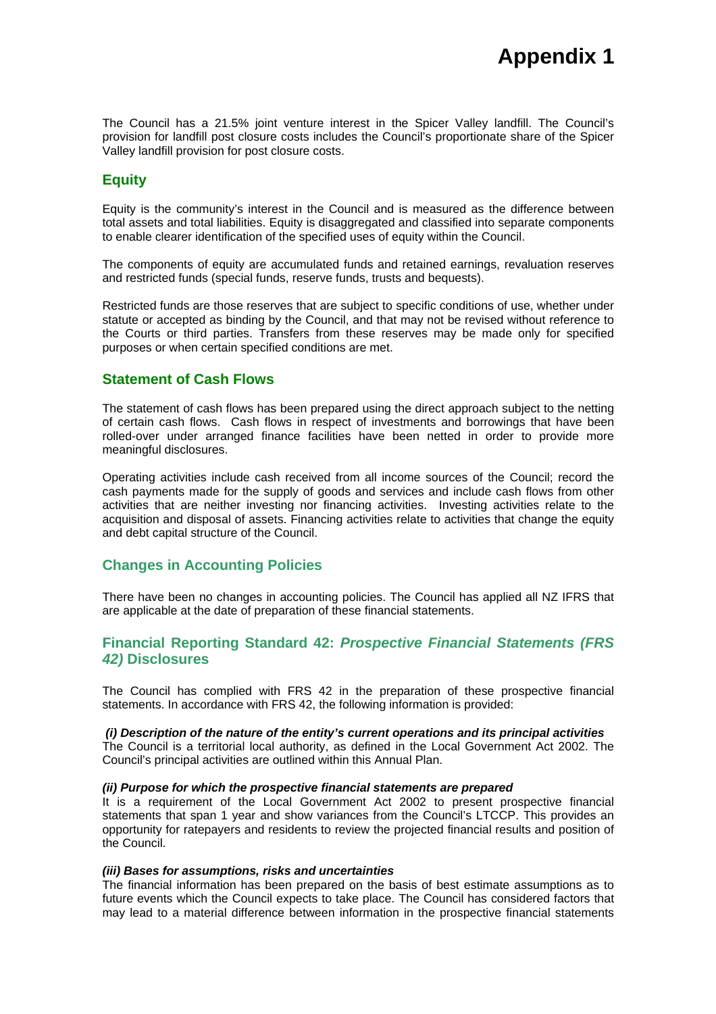The Council has a 21.5% joint venture interest in the Spicer Valley landfill. The Council's provision for landfill post closure costs includes the Council's proportionate share of the Spicer Valley landfill provision for post closure costs.

# **Equity**

Equity is the community's interest in the Council and is measured as the difference between total assets and total liabilities. Equity is disaggregated and classified into separate components to enable clearer identification of the specified uses of equity within the Council.

The components of equity are accumulated funds and retained earnings, revaluation reserves and restricted funds (special funds, reserve funds, trusts and bequests).

Restricted funds are those reserves that are subject to specific conditions of use, whether under statute or accepted as binding by the Council, and that may not be revised without reference to the Courts or third parties. Transfers from these reserves may be made only for specified purposes or when certain specified conditions are met.

# **Statement of Cash Flows**

The statement of cash flows has been prepared using the direct approach subject to the netting of certain cash flows. Cash flows in respect of investments and borrowings that have been rolled-over under arranged finance facilities have been netted in order to provide more meaningful disclosures.

Operating activities include cash received from all income sources of the Council; record the cash payments made for the supply of goods and services and include cash flows from other activities that are neither investing nor financing activities. Investing activities relate to the acquisition and disposal of assets. Financing activities relate to activities that change the equity and debt capital structure of the Council.

# **Changes in Accounting Policies**

There have been no changes in accounting policies. The Council has applied all NZ IFRS that are applicable at the date of preparation of these financial statements.

# **Financial Reporting Standard 42:** *Prospective Financial Statements (FRS 42)* **Disclosures**

The Council has complied with FRS 42 in the preparation of these prospective financial statements. In accordance with FRS 42, the following information is provided:

### *(i) Description of the nature of the entity's current operations and its principal activities*

The Council is a territorial local authority, as defined in the Local Government Act 2002. The Council's principal activities are outlined within this Annual Plan.

### *(ii) Purpose for which the prospective financial statements are prepared*

It is a requirement of the Local Government Act 2002 to present prospective financial statements that span 1 year and show variances from the Council's LTCCP. This provides an opportunity for ratepayers and residents to review the projected financial results and position of the Council.

#### *(iii) Bases for assumptions, risks and uncertainties*

The financial information has been prepared on the basis of best estimate assumptions as to future events which the Council expects to take place. The Council has considered factors that may lead to a material difference between information in the prospective financial statements